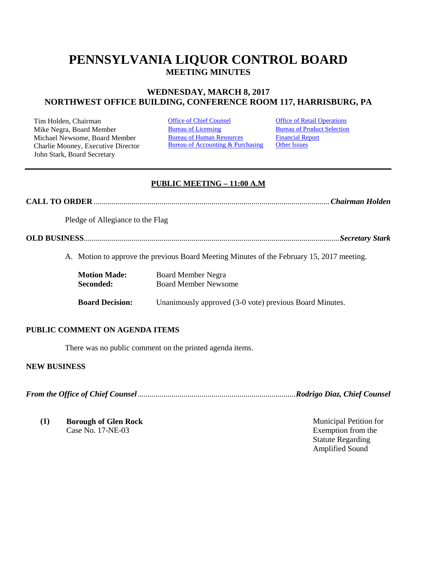# **PENNSYLVANIA LIQUOR CONTROL BOARD MEETING MINUTES**

# **WEDNESDAY, MARCH 8, 2017 NORTHWEST OFFICE BUILDING, CONFERENCE ROOM 117, HARRISBURG, PA**

Tim Holden, Chairman **[Office of Chief Counsel](#page-0-0) Office [of Retail Operations](#page-8-0)**<br>
Mike Negra. Board Member Bureau of Licensing Bureau of Product Selection Mike Negra, Board Member Michael Newsome, Board Member Charlie Mooney, Executive Director John Stark, Board Secretary

[Bureau of Human Resources](#page-7-0) [Bureau of Accounting & Purchasing](#page-8-1)

[Financial Report](#page-8-2) [Other Issues](#page-15-0)

# **PUBLIC MEETING – 11:00 A.M**

**CALL TO ORDER** ......................................................................................................................*Chairman Holden*

Pledge of Allegiance to the Flag

**OLD BUSINESS**................................................................................................................................*Secretary Stark*

A. Motion to approve the previous Board Meeting Minutes of the February 15, 2017 meeting.

| <b>Motion Made:</b>    | Board Member Negra                                      |  |
|------------------------|---------------------------------------------------------|--|
| Seconded:              | <b>Board Member Newsome</b>                             |  |
| <b>Board Decision:</b> | Unanimously approved (3-0 vote) previous Board Minutes. |  |

#### **PUBLIC COMMENT ON AGENDA ITEMS**

There was no public comment on the printed agenda items.

#### **NEW BUSINESS**

<span id="page-0-0"></span>*From the Office of Chief Counsel*...............................................................................*Rodrigo Diaz, Chief Counsel*

**(1) Borough of Glen Rock** Case No. 17-NE-03

Municipal Petition for Exemption from the Statute Regarding Amplified Sound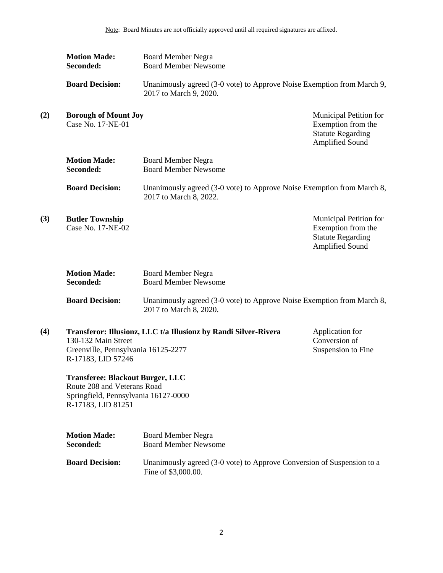|     | <b>Motion Made:</b><br>Seconded:                                                                                                     | <b>Board Member Negra</b><br><b>Board Member Newsome</b>                                         |                                                                                                    |
|-----|--------------------------------------------------------------------------------------------------------------------------------------|--------------------------------------------------------------------------------------------------|----------------------------------------------------------------------------------------------------|
|     | <b>Board Decision:</b>                                                                                                               | Unanimously agreed (3-0 vote) to Approve Noise Exemption from March 9,<br>2017 to March 9, 2020. |                                                                                                    |
| (2) | <b>Borough of Mount Joy</b><br>Case No. 17-NE-01                                                                                     |                                                                                                  | Municipal Petition for<br>Exemption from the<br><b>Statute Regarding</b><br><b>Amplified Sound</b> |
|     | <b>Motion Made:</b><br>Seconded:                                                                                                     | <b>Board Member Negra</b><br><b>Board Member Newsome</b>                                         |                                                                                                    |
|     | <b>Board Decision:</b>                                                                                                               | Unanimously agreed (3-0 vote) to Approve Noise Exemption from March 8,<br>2017 to March 8, 2022. |                                                                                                    |
| (3) | <b>Butler Township</b><br>Case No. 17-NE-02                                                                                          |                                                                                                  | Municipal Petition for<br>Exemption from the<br><b>Statute Regarding</b><br>Amplified Sound        |
|     | <b>Motion Made:</b><br>Seconded:                                                                                                     | <b>Board Member Negra</b><br><b>Board Member Newsome</b>                                         |                                                                                                    |
|     | <b>Board Decision:</b>                                                                                                               | Unanimously agreed (3-0 vote) to Approve Noise Exemption from March 8,<br>2017 to March 8, 2020. |                                                                                                    |
| (4) | 130-132 Main Street<br>Greenville, Pennsylvania 16125-2277<br>R-17183, LID 57246                                                     | Transferor: Illusionz, LLC t/a Illusionz by Randi Silver-Rivera                                  | Application for<br>Conversion of<br>Suspension to Fine                                             |
|     | <b>Transferee: Blackout Burger, LLC</b><br>Route 208 and Veterans Road<br>Springfield, Pennsylvania 16127-0000<br>R-17183, LID 81251 |                                                                                                  |                                                                                                    |
|     | <b>Motion Made:</b><br>Seconded:                                                                                                     | <b>Board Member Negra</b><br><b>Board Member Newsome</b>                                         |                                                                                                    |

**Board Decision:** Unanimously agreed (3-0 vote) to Approve Conversion of Suspension to a Fine of \$3,000.00.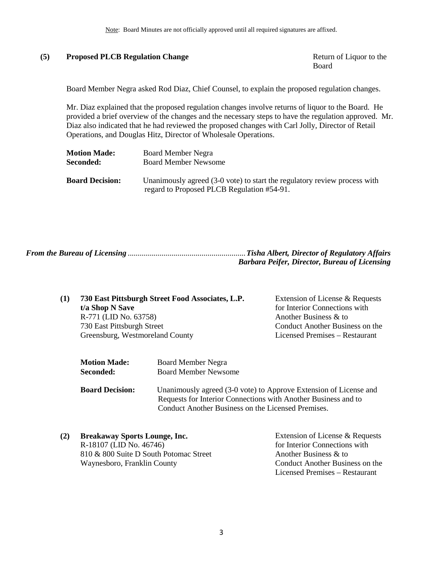### (5) **Proposed PLCB Regulation Change** Return of Liquor to the

Board

Board Member Negra asked Rod Diaz, Chief Counsel, to explain the proposed regulation changes.

Mr. Diaz explained that the proposed regulation changes involve returns of liquor to the Board. He provided a brief overview of the changes and the necessary steps to have the regulation approved. Mr. Diaz also indicated that he had reviewed the proposed changes with Carl Jolly, Director of Retail Operations, and Douglas Hitz, Director of Wholesale Operations.

| <b>Motion Made:</b>    | Board Member Negra                                                        |  |
|------------------------|---------------------------------------------------------------------------|--|
| <b>Seconded:</b>       | <b>Board Member Newsome</b>                                               |  |
|                        |                                                                           |  |
| <b>Board Decision:</b> | Unanimously agreed (3-0 vote) to start the regulatory review process with |  |
|                        | regard to Proposed PLCB Regulation #54-91.                                |  |

<span id="page-2-0"></span>

| <b>Barbara Peifer, Director, Bureau of Licensing</b> |
|------------------------------------------------------|

| (1) | 730 East Pittsburgh Street Food Associates, L.P. | Extension of License & Requests |
|-----|--------------------------------------------------|---------------------------------|
|     | t/a Shop N Save                                  | for Interior Connections with   |
|     | R-771 (LID No. 63758)                            | Another Business & to           |
|     | 730 East Pittsburgh Street                       | Conduct Another Business on the |
|     | Greensburg, Westmoreland County                  | Licensed Premises – Restaurant  |
|     |                                                  |                                 |

| <b>Motion Made:</b>    | <b>Board Member Negra</b>                                         |  |
|------------------------|-------------------------------------------------------------------|--|
| Seconded:              | <b>Board Member Newsome</b>                                       |  |
| <b>Board Decision:</b> | Unanimously agreed (3-0 vote) to Approve Extension of License and |  |
|                        | Requests for Interior Connections with Another Business and to    |  |
|                        | Conduct Another Business on the Licensed Premises.                |  |

| (2) | <b>Breakaway Sports Lounge, Inc.</b>   | Extension of License & Requests |
|-----|----------------------------------------|---------------------------------|
|     | R-18107 (LID No. 46746)                | for Interior Connections with   |
|     | 810 & 800 Suite D South Potomac Street | Another Business & to           |
|     | Waynesboro, Franklin County            | Conduct Another Business on the |
|     |                                        | Licensed Premises – Restaurant  |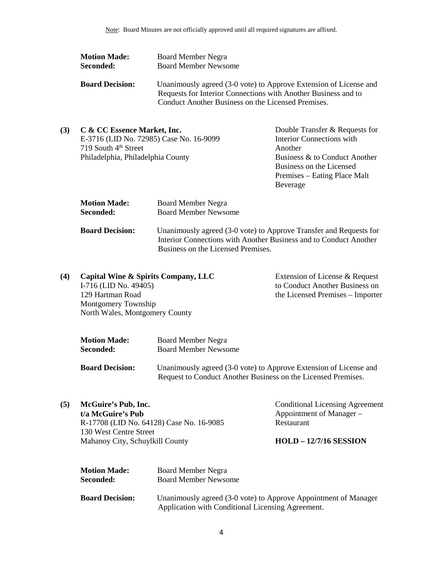| <b>Motion Made:</b>    | <b>Board Member Negra</b>                                                                                                                                                                 |
|------------------------|-------------------------------------------------------------------------------------------------------------------------------------------------------------------------------------------|
| Seconded:              | <b>Board Member Newsome</b>                                                                                                                                                               |
| <b>Board Decision:</b> | Unanimously agreed (3-0 vote) to Approve Extension of License and<br>Requests for Interior Connections with Another Business and to<br>Conduct Another Business on the Licensed Premises. |

| (3) | C & CC Essence Market, Inc.             | Double Transfer & Requests for |
|-----|-----------------------------------------|--------------------------------|
|     | E-3716 (LID No. 72985) Case No. 16-9099 | Interior Connections with      |
|     | 719 South $4th$ Street                  | Another                        |
|     | Philadelphia, Philadelphia County       | Business & to Conduct Another  |
|     |                                         | Business on the Licensed       |
|     |                                         | Premises – Eating Place Malt   |
|     |                                         | Beverage                       |

| <b>Motion Made:</b>    | <b>Board Member Negra</b>                                                                                                                                                     |
|------------------------|-------------------------------------------------------------------------------------------------------------------------------------------------------------------------------|
| Seconded:              | <b>Board Member Newsome</b>                                                                                                                                                   |
| <b>Board Decision:</b> | Unanimously agreed (3-0 vote) to Approve Transfer and Requests for<br>Interior Connections with Another Business and to Conduct Another<br>Business on the Licensed Premises. |

| (4) | Capital Wine & Spirits Company, LLC | Extension of License & Request   |
|-----|-------------------------------------|----------------------------------|
|     | I-716 (LID No. 49405)               | to Conduct Another Business on   |
|     | 129 Hartman Road                    | the Licensed Premises – Importer |
|     | Montgomery Township                 |                                  |
|     | North Wales, Montgomery County      |                                  |
|     |                                     |                                  |

| <b>Motion Made:</b> | Board Member Negra          |
|---------------------|-----------------------------|
| <b>Seconded:</b>    | <b>Board Member Newsome</b> |

**Board Decision:** Unanimously agreed (3-0 vote) to Approve Extension of License and Request to Conduct Another Business on the Licensed Premises.

#### **(5) McGuire's Pub, Inc. t/a McGuire's Pub**

R-17708 (LID No. 64128) Case No. 16-9085 130 West Centre Street Mahanoy City, Schuylkill County

Conditional Licensing Agreement Appointment of Manager – Restaurant

#### **HOLD – 12/7/16 SESSION**

| <b>Motion Made:</b>    | Board Member Negra                                              |
|------------------------|-----------------------------------------------------------------|
| Seconded:              | <b>Board Member Newsome</b>                                     |
| <b>Board Decision:</b> | Unanimously agreed (3-0 vote) to Approve Appointment of Manager |
|                        | Application with Conditional Licensing Agreement.               |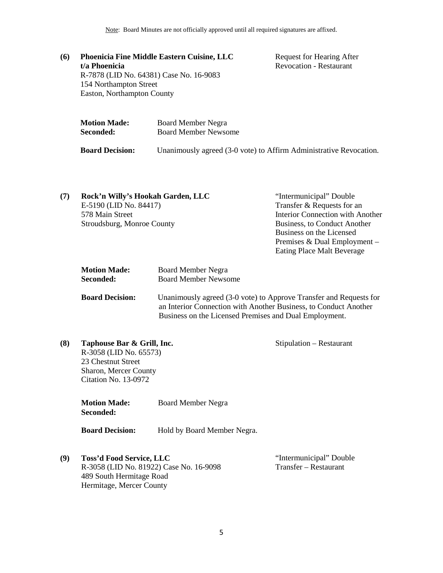Note: Board Minutes are not officially approved until all required signatures are affixed.

**(6) Phoenicia Fine Middle Eastern Cuisine, LLC t/a Phoenicia** R-7878 (LID No. 64381) Case No. 16-9083 154 Northampton Street Easton, Northampton County

Request for Hearing After Revocation - Restaurant

| <b>Motion Made:</b> | <b>Board Member Negra</b>   |
|---------------------|-----------------------------|
| <b>Seconded:</b>    | <b>Board Member Newsome</b> |
|                     |                             |

**Board Decision:** Unanimously agreed (3-0 vote) to Affirm Administrative Revocation.

| (7) | Rock'n Willy's Hookah Garden, LLC | "Intermunicipal" Double          |
|-----|-----------------------------------|----------------------------------|
|     | E-5190 (LID No. 84417)            | Transfer & Requests for an       |
|     | 578 Main Street                   | Interior Connection with Another |
|     | Stroudsburg, Monroe County        | Business, to Conduct Another     |
|     |                                   | Business on the Licensed         |
|     |                                   | Premises & Dual Employment –     |
|     |                                   | Eating Place Malt Beverage       |
|     |                                   |                                  |

| <b>Motion Made:</b> | <b>Board Member Negra</b>   |
|---------------------|-----------------------------|
| Seconded:           | <b>Board Member Newsome</b> |

**Board Decision:** Unanimously agreed (3-0 vote) to Approve Transfer and Requests for an Interior Connection with Another Business, to Conduct Another Business on the Licensed Premises and Dual Employment.

**(8) Taphouse Bar & Grill, Inc.** R-3058 (LID No. 65573) 23 Chestnut Street Sharon, Mercer County Citation No. 13-0972

> **Motion Made:** Board Member Negra **Seconded:**

**Board Decision:** Hold by Board Member Negra.

**(9) Toss'd Food Service, LLC** R-3058 (LID No. 81922) Case No. 16-9098 489 South Hermitage Road Hermitage, Mercer County

"Intermunicipal" Double Transfer – Restaurant

Stipulation – Restaurant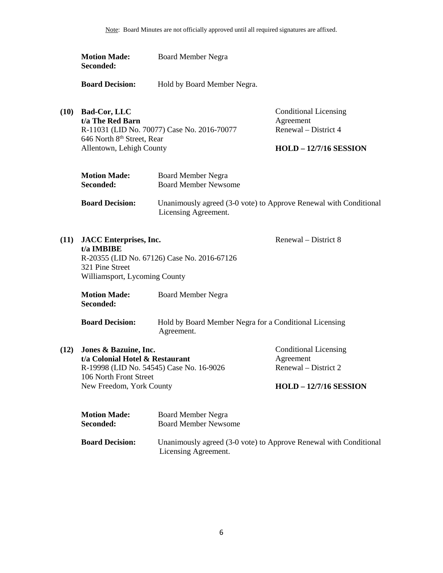|      | <b>Motion Made:</b><br>Seconded:                                                                               | <b>Board Member Negra</b>                                                                 |                                                                                                    |
|------|----------------------------------------------------------------------------------------------------------------|-------------------------------------------------------------------------------------------|----------------------------------------------------------------------------------------------------|
|      | <b>Board Decision:</b>                                                                                         | Hold by Board Member Negra.                                                               |                                                                                                    |
| (10) | <b>Bad-Cor, LLC</b><br>t/a The Red Barn<br>646 North 8th Street, Rear<br>Allentown, Lehigh County              | R-11031 (LID No. 70077) Case No. 2016-70077                                               | <b>Conditional Licensing</b><br>Agreement<br>Renewal – District 4<br><b>HOLD - 12/7/16 SESSION</b> |
|      | <b>Motion Made:</b><br>Seconded:                                                                               | <b>Board Member Negra</b><br><b>Board Member Newsome</b>                                  |                                                                                                    |
|      | <b>Board Decision:</b>                                                                                         | Unanimously agreed (3-0 vote) to Approve Renewal with Conditional<br>Licensing Agreement. |                                                                                                    |
| (11) | <b>JACC</b> Enterprises, Inc.<br>t/a IMBIBE<br>321 Pine Street<br>Williamsport, Lycoming County                | R-20355 (LID No. 67126) Case No. 2016-67126                                               | Renewal – District 8                                                                               |
|      | <b>Motion Made:</b><br>Seconded:                                                                               | <b>Board Member Negra</b>                                                                 |                                                                                                    |
|      | <b>Board Decision:</b>                                                                                         | Hold by Board Member Negra for a Conditional Licensing<br>Agreement.                      |                                                                                                    |
| (12) | Jones & Bazuine, Inc.<br>t/a Colonial Hotel & Restaurant<br>106 North Front Street<br>New Freedom, York County | R-19998 (LID No. 54545) Case No. 16-9026                                                  | <b>Conditional Licensing</b><br>Agreement<br>Renewal – District 2<br><b>HOLD - 12/7/16 SESSION</b> |
|      | <b>Motion Made:</b><br>Seconded:                                                                               | <b>Board Member Negra</b><br><b>Board Member Newsome</b>                                  |                                                                                                    |

| <b>Board Decision:</b> | Unanimously agreed (3-0 vote) to Approve Renewal with Conditional |
|------------------------|-------------------------------------------------------------------|
|                        | Licensing Agreement.                                              |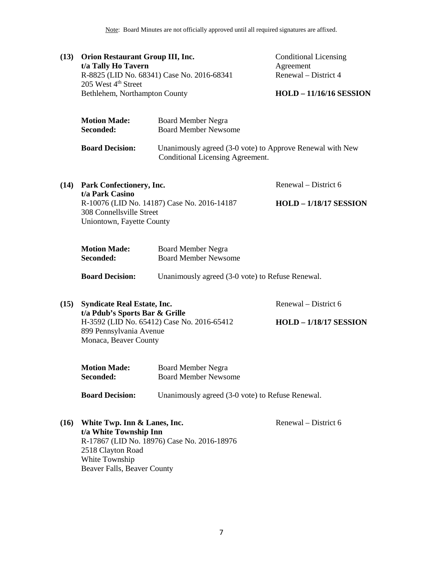Note: Board Minutes are not officially approved until all required signatures are affixed.

| (13)                                                                     | <b>Orion Restaurant Group III, Inc.</b><br>t/a Tally Ho Tavern<br>R-8825 (LID No. 68341) Case No. 2016-68341<br>205 West 4 <sup>th</sup> Street<br>Bethlehem, Northampton County |                                                                                               | <b>Conditional Licensing</b><br>Agreement<br>Renewal – District 4 |
|--------------------------------------------------------------------------|----------------------------------------------------------------------------------------------------------------------------------------------------------------------------------|-----------------------------------------------------------------------------------------------|-------------------------------------------------------------------|
|                                                                          |                                                                                                                                                                                  |                                                                                               | <b>HOLD - 11/16/16 SESSION</b>                                    |
|                                                                          | <b>Motion Made:</b><br>Seconded:                                                                                                                                                 | <b>Board Member Negra</b><br><b>Board Member Newsome</b>                                      |                                                                   |
|                                                                          | <b>Board Decision:</b>                                                                                                                                                           | Unanimously agreed (3-0 vote) to Approve Renewal with New<br>Conditional Licensing Agreement. |                                                                   |
| (14)                                                                     | Park Confectionery, Inc.                                                                                                                                                         |                                                                                               | Renewal – District 6                                              |
| t/a Park Casino<br>308 Connellsville Street<br>Uniontown, Fayette County |                                                                                                                                                                                  | R-10076 (LID No. 14187) Case No. 2016-14187                                                   | <b>HOLD - 1/18/17 SESSION</b>                                     |
|                                                                          | <b>Motion Made:</b><br>Seconded:                                                                                                                                                 | <b>Board Member Negra</b><br><b>Board Member Newsome</b>                                      |                                                                   |
|                                                                          | <b>Board Decision:</b>                                                                                                                                                           | Unanimously agreed (3-0 vote) to Refuse Renewal.                                              |                                                                   |
| (15)                                                                     | <b>Syndicate Real Estate, Inc.</b><br>t/a Pdub's Sports Bar & Grille<br>H-3592 (LID No. 65412) Case No. 2016-65412<br>899 Pennsylvania Avenue<br>Monaca, Beaver County           |                                                                                               | Renewal – District 6                                              |
|                                                                          |                                                                                                                                                                                  |                                                                                               | <b>HOLD - 1/18/17 SESSION</b>                                     |
|                                                                          | <b>Motion Made:</b><br>Seconded:                                                                                                                                                 | <b>Board Member Negra</b><br><b>Board Member Newsome</b>                                      |                                                                   |
|                                                                          | <b>Board Decision:</b>                                                                                                                                                           | Unanimously agreed (3-0 vote) to Refuse Renewal.                                              |                                                                   |
| (16)                                                                     | White Twp. Inn & Lanes, Inc.<br>t/a White Township Inn<br>2518 Clayton Road                                                                                                      | R-17867 (LID No. 18976) Case No. 2016-18976                                                   | Renewal – District 6                                              |

7

White Township

Beaver Falls, Beaver County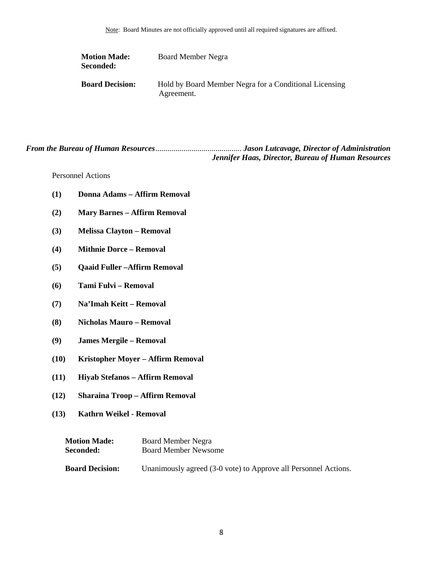| <b>Motion Made:</b><br>Seconded: | Board Member Negra                                                   |
|----------------------------------|----------------------------------------------------------------------|
| <b>Board Decision:</b>           | Hold by Board Member Negra for a Conditional Licensing<br>Agreement. |

*From the Bureau of Human Resources*........................................... *Jason Lutcavage, Director of Administration Jennifer Haas, Director, Bureau of Human Resources*

<span id="page-7-0"></span>Personnel Actions

- **(1) Donna Adams – Affirm Removal**
- **(2) Mary Barnes – Affirm Removal**
- **(3) Melissa Clayton – Removal**
- **(4) Mithnie Dorce – Removal**
- **(5) Qaaid Fuller –Affirm Removal**
- **(6) Tami Fulvi – Removal**
- **(7) Na'Imah Keitt – Removal**
- **(8) Nicholas Mauro – Removal**
- **(9) James Mergile – Removal**
- **(10) Kristopher Moyer – Affirm Removal**
- **(11) Hiyab Stefanos – Affirm Removal**
- **(12) Sharaina Troop – Affirm Removal**
- **(13) Kathrn Weikel - Removal**

| <b>Motion Made:</b>    | Board Member Negra                                              |
|------------------------|-----------------------------------------------------------------|
| Seconded:              | <b>Board Member Newsome</b>                                     |
| <b>Board Decision:</b> | Unanimously agreed (3-0 vote) to Approve all Personnel Actions. |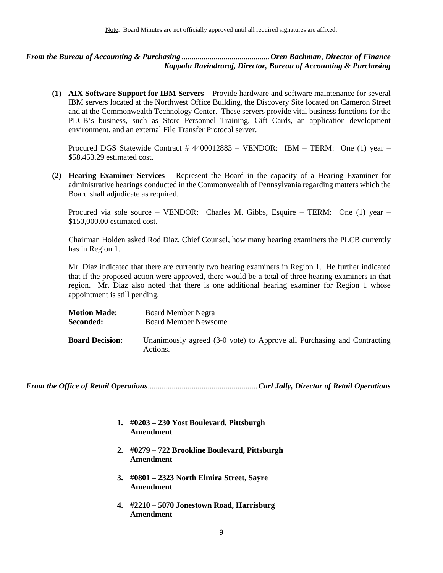<span id="page-8-2"></span><span id="page-8-1"></span>*From the Bureau of Accounting & Purchasing* ............................................*Oren Bachman*, *Director of Finance Koppolu Ravindraraj, Director, Bureau of Accounting & Purchasing*

**(1) AIX Software Support for IBM Servers** – Provide hardware and software maintenance for several IBM servers located at the Northwest Office Building, the Discovery Site located on Cameron Street and at the Commonwealth Technology Center. These servers provide vital business functions for the PLCB's business, such as Store Personnel Training, Gift Cards, an application development environment, and an external File Transfer Protocol server.

Procured DGS Statewide Contract # 4400012883 – VENDOR: IBM – TERM: One (1) year – \$58,453.29 estimated cost.

**(2) Hearing Examiner Services** – Represent the Board in the capacity of a Hearing Examiner for administrative hearings conducted in the Commonwealth of Pennsylvania regarding matters which the Board shall adjudicate as required.

Procured via sole source – VENDOR: Charles M. Gibbs, Esquire – TERM: One (1) year – \$150,000.00 estimated cost.

Chairman Holden asked Rod Diaz, Chief Counsel, how many hearing examiners the PLCB currently has in Region 1.

Mr. Diaz indicated that there are currently two hearing examiners in Region 1. He further indicated that if the proposed action were approved, there would be a total of three hearing examiners in that region. Mr. Diaz also noted that there is one additional hearing examiner for Region 1 whose appointment is still pending.

| <b>Motion Made:</b>    | <b>Board Member Negra</b>                                                           |
|------------------------|-------------------------------------------------------------------------------------|
| <b>Seconded:</b>       | <b>Board Member Newsome</b>                                                         |
| <b>Board Decision:</b> | Unanimously agreed (3-0 vote) to Approve all Purchasing and Contracting<br>Actions. |

<span id="page-8-0"></span>*From the Office of Retail Operations*.......................................................*Carl Jolly, Director of Retail Operations*

- **1. #0203 – 230 Yost Boulevard, Pittsburgh Amendment**
- **2. #0279 – 722 Brookline Boulevard, Pittsburgh Amendment**
- **3. #0801 – 2323 North Elmira Street, Sayre Amendment**
- **4. #2210 – 5070 Jonestown Road, Harrisburg Amendment**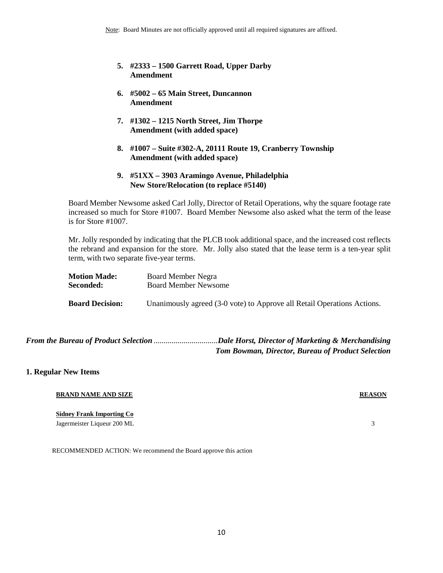- **5. #2333 – 1500 Garrett Road, Upper Darby Amendment**
- **6. #5002 – 65 Main Street, Duncannon Amendment**
- **7. #1302 – 1215 North Street, Jim Thorpe Amendment (with added space)**
- **8. #1007 – Suite #302-A, 20111 Route 19, Cranberry Township Amendment (with added space)**
- **9. #51XX – 3903 Aramingo Avenue, Philadelphia New Store/Relocation (to replace #5140)**

Board Member Newsome asked Carl Jolly, Director of Retail Operations, why the square footage rate increased so much for Store #1007. Board Member Newsome also asked what the term of the lease is for Store #1007.

Mr. Jolly responded by indicating that the PLCB took additional space, and the increased cost reflects the rebrand and expansion for the store. Mr. Jolly also stated that the lease term is a ten-year split term, with two separate five-year terms.

| <b>Motion Made:</b>    | Board Member Negra                                                      |
|------------------------|-------------------------------------------------------------------------|
| <b>Seconded:</b>       | <b>Board Member Newsome</b>                                             |
| <b>Board Decision:</b> | Unanimously agreed (3-0 vote) to Approve all Retail Operations Actions. |

<span id="page-9-0"></span>*From the Bureau of Product Selection* ................................*Dale Horst, Director of Marketing & Merchandising Tom Bowman, Director, Bureau of Product Selection*

#### **1. Regular New Items**

| <b>BRAND NAME AND SIZE</b> | <b>REASON</b> |
|----------------------------|---------------|
|----------------------------|---------------|

#### **Sidney Frank Importing Co**

Jagermeister Liqueur 200 ML 3

RECOMMENDED ACTION: We recommend the Board approve this action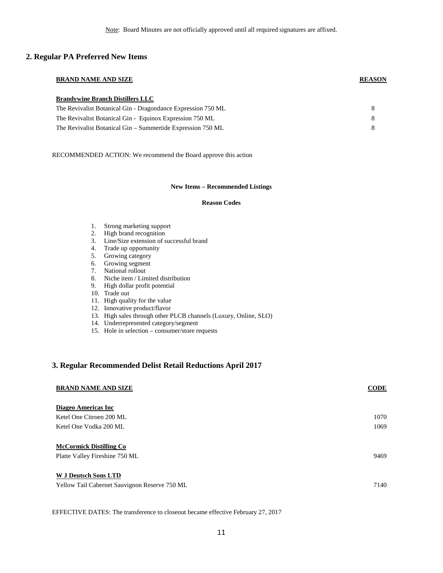#### **2. Regular PA Preferred New Items**

# **BRAND NAME AND SIZE REASON Brandywine Branch Distillers LLC**

| The Revivalist Botanical Gin - Dragondance Expression 750 ML |  |
|--------------------------------------------------------------|--|
| The Revivalist Botanical Gin - Equinox Expression 750 ML     |  |
| The Revivalist Botanical Gin – Summertide Expression 750 ML  |  |

RECOMMENDED ACTION: We recommend the Board approve this action

#### **New Items – Recommended Listings**

#### **Reason Codes**

- 1. Strong marketing support
- 2. High brand recognition
- 3. Line/Size extension of successful brand
- 4. Trade up opportunity
- 5. Growing category
- 6. Growing segment
- 7. National rollout
- 8. Niche item / Limited distribution
- 9. High dollar profit potential
- 10. Trade out
- 11. High quality for the value
- 12. Innovative product/flavor
- 13. High sales through other PLCB channels (Luxury, Online, SLO)
- 14. Underrepresented category/segment
- 15. Hole in selection consumer/store requests

#### **3. Regular Recommended Delist Retail Reductions April 2017**

| <b>BRAND NAME AND SIZE</b>                                            | <b>CODE</b> |
|-----------------------------------------------------------------------|-------------|
| Diageo Americas Inc                                                   |             |
| Ketel One Citroen 200 ML                                              | 1070        |
| Ketel One Vodka 200 ML                                                | 1069        |
| <b>McCormick Distilling Co</b><br>Platte Valley Fireshine 750 ML      | 9469        |
| W J Deutsch Sons LTD<br>Yellow Tail Cabernet Sauvignon Reserve 750 ML | 7140        |

EFFECTIVE DATES: The transference to closeout became effective February 27, 2017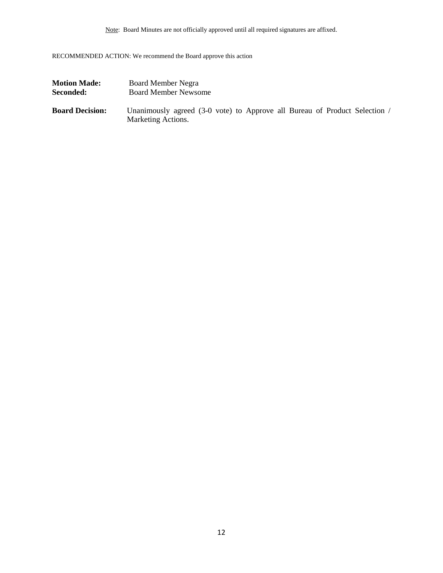Note: Board Minutes are not officially approved until all required signatures are affixed.

RECOMMENDED ACTION: We recommend the Board approve this action

| <b>Motion Made:</b>    | Board Member Negra                                                                               |
|------------------------|--------------------------------------------------------------------------------------------------|
| Seconded:              | <b>Board Member Newsome</b>                                                                      |
| <b>Board Decision:</b> | Unanimously agreed (3-0 vote) to Approve all Bureau of Product Selection /<br>Marketing Actions. |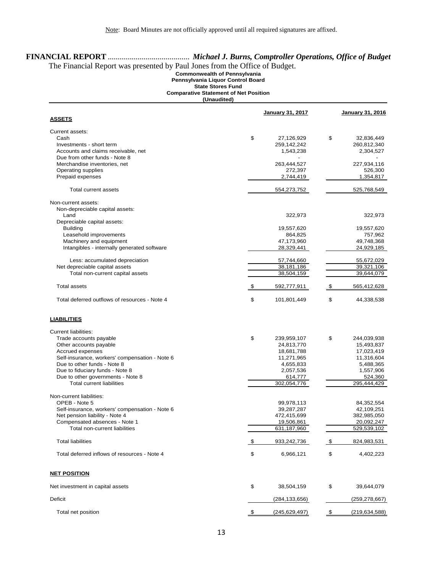# **FINANCIAL REPORT** ......................................... *Michael J. Burns, Comptroller Operations, Office of Budget*

# The Financial Report was presented by Paul Jones from the Office of Budget.

**Commonwealth of Pennsylvania**

**Pennsylvania Liquor Control Board State Stores Fund**

**Comparative Statement of Net Position**

**(Unaudited)**

|                                                |               | <b>January 31, 2017</b> |            | January 31, 2016 |
|------------------------------------------------|---------------|-------------------------|------------|------------------|
| <b>ASSETS</b>                                  |               |                         |            |                  |
| Current assets:                                |               |                         |            |                  |
| Cash                                           | \$            | 27,126,929              | \$         | 32,836,449       |
| Investments - short term                       |               | 259,142,242             |            | 260,812,340      |
| Accounts and claims receivable, net            |               | 1,543,238               |            | 2,304,527        |
| Due from other funds - Note 8                  |               |                         |            |                  |
| Merchandise inventories, net                   |               | 263,444,527             |            | 227,934,116      |
| Operating supplies                             |               | 272,397                 |            | 526,300          |
| Prepaid expenses                               |               | 2,744,419               |            | 1,354,817        |
| Total current assets                           |               | 554,273,752             |            | 525,768,549      |
| Non-current assets:                            |               |                         |            |                  |
| Non-depreciable capital assets:                |               |                         |            |                  |
| Land                                           |               | 322,973                 |            | 322,973          |
| Depreciable capital assets:                    |               |                         |            |                  |
| <b>Building</b>                                |               | 19,557,620              |            | 19,557,620       |
| Leasehold improvements                         |               | 864,825                 |            | 757,962          |
| Machinery and equipment                        |               | 47,173,960              |            | 49,748,368       |
| Intangibles - internally generated software    |               | 28,329,441              |            | 24,929,185       |
|                                                |               |                         |            |                  |
| Less: accumulated depreciation                 |               | 57,744,660              |            | 55,672,029       |
| Net depreciable capital assets                 |               | 38,181,186              |            | 39,321,106       |
| Total non-current capital assets               |               | 38,504,159              |            | 39,644,079       |
| <b>Total assets</b>                            | \$            | 592,777,911             | \$         | 565,412,628      |
| Total deferred outflows of resources - Note 4  | \$            | 101,801,449             | \$         | 44,338,538       |
| <b>LIABILITIES</b>                             |               |                         |            |                  |
| <b>Current liabilities:</b>                    |               |                         |            |                  |
| Trade accounts payable                         | \$            | 239,959,107             | \$         | 244,039,938      |
| Other accounts payable                         |               | 24,813,770              |            | 15,493,837       |
| Accrued expenses                               |               | 18,681,788              |            | 17,023,419       |
| Self-insurance, workers' compensation - Note 6 |               | 11,271,965              |            | 11,316,604       |
| Due to other funds - Note 8                    |               | 4,655,833               |            | 5,488,365        |
| Due to fiduciary funds - Note 8                |               | 2,057,536               |            | 1,557,906        |
| Due to other governments - Note 8              |               | 614,777                 |            | 524,360          |
| <b>Total current liabilities</b>               |               | 302,054,776             |            | 295,444,429      |
|                                                |               |                         |            |                  |
| Non-current liabilities:                       |               |                         |            |                  |
| OPEB - Note 5                                  |               | 99,978,113              |            | 84,352,554       |
| Self-insurance, workers' compensation - Note 6 |               | 39,287,287              |            | 42,109,251       |
| Net pension liability - Note 4                 |               | 472,415,699             |            | 382,985,050      |
| Compensated absences - Note 1                  |               | 19,506,861              |            | 20,092,247       |
| Total non-current liabilities                  |               | 631,187,960             |            | 529,539,102      |
| <b>Total liabilities</b>                       | \$            | 933,242,736             | \$         | 824,983,531      |
| Total deferred inflows of resources - Note 4   | \$            | 6,966,121               | \$         | 4,402,223        |
| <b>NET POSITION</b>                            |               |                         |            |                  |
| Net investment in capital assets               | \$            | 38,504,159              | \$         | 39,644,079       |
| Deficit                                        |               | (284, 133, 656)         |            | (259, 278, 667)  |
| Total net position                             | $\frac{3}{2}$ | (245, 629, 497)         | $\sqrt{2}$ | (219, 634, 588)  |
|                                                |               |                         |            |                  |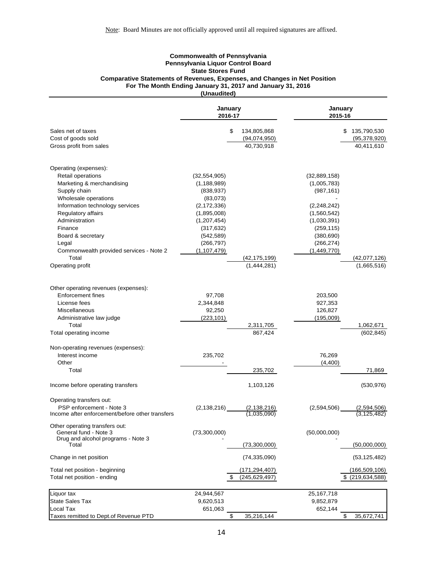#### **Commonwealth of Pennsylvania Pennsylvania Liquor Control Board State Stores Fund Comparative Statements of Revenues, Expenses, and Changes in Net Position For The Month Ending January 31, 2017 and January 31, 2016 (Unaudited)**

|                                                                                               | January<br>2016-17 |                                                 | January<br>2015-16 |                                                   |
|-----------------------------------------------------------------------------------------------|--------------------|-------------------------------------------------|--------------------|---------------------------------------------------|
| Sales net of taxes<br>Cost of goods sold                                                      | \$                 | 134,805,868<br>(94,074,950)<br>40,730,918       |                    | \$<br>135,790,530<br>(95, 378, 920)<br>40,411,610 |
| Gross profit from sales                                                                       |                    |                                                 |                    |                                                   |
| Operating (expenses):                                                                         |                    |                                                 |                    |                                                   |
| Retail operations                                                                             | (32, 554, 905)     |                                                 | (32,889,158)       |                                                   |
| Marketing & merchandising                                                                     | (1, 188, 989)      |                                                 | (1,005,783)        |                                                   |
| Supply chain                                                                                  | (838, 937)         |                                                 | (987, 161)         |                                                   |
| Wholesale operations                                                                          | (83,073)           |                                                 |                    |                                                   |
| Information technology services                                                               | (2, 172, 336)      |                                                 | (2, 248, 242)      |                                                   |
| Regulatory affairs                                                                            | (1,895,008)        |                                                 | (1,560,542)        |                                                   |
| Administration                                                                                | (1,207,454)        |                                                 | (1,030,391)        |                                                   |
| Finance                                                                                       | (317, 632)         |                                                 | (259, 115)         |                                                   |
| Board & secretary                                                                             | (542, 589)         |                                                 | (380, 690)         |                                                   |
| Legal                                                                                         | (266, 797)         |                                                 | (266, 274)         |                                                   |
| Commonwealth provided services - Note 2                                                       | (1, 107, 479)      |                                                 | (1,449,770)        |                                                   |
| Total                                                                                         |                    | <u>(42,175,199)</u><br>$\overline{(1,444,281)}$ |                    | (42,077,126)                                      |
| Operating profit                                                                              |                    |                                                 |                    | (1,665,516)                                       |
| Other operating revenues (expenses):                                                          |                    |                                                 |                    |                                                   |
| <b>Enforcement fines</b>                                                                      | 97,708             |                                                 | 203,500            |                                                   |
| License fees                                                                                  | 2,344,848          |                                                 | 927,353            |                                                   |
| Miscellaneous                                                                                 | 92,250             |                                                 | 126,827            |                                                   |
| Administrative law judge                                                                      | (223, 101)         |                                                 | (195,009)          |                                                   |
| Total                                                                                         |                    | 2,311,705                                       |                    | 1,062,671                                         |
| Total operating income                                                                        |                    | 867,424                                         |                    | (602, 845)                                        |
| Non-operating revenues (expenses):                                                            |                    |                                                 |                    |                                                   |
| Interest income                                                                               | 235,702            |                                                 | 76,269             |                                                   |
| Other                                                                                         |                    |                                                 | (4,400)            |                                                   |
| Total                                                                                         |                    | 235,702                                         |                    | 71,869                                            |
| Income before operating transfers                                                             |                    | 1,103,126                                       |                    | (530, 976)                                        |
| Operating transfers out:                                                                      |                    |                                                 |                    |                                                   |
| PSP enforcement - Note 3                                                                      | (2, 138, 216)      |                                                 | (2,594,506)        | (2,594,506)                                       |
| Income after enforcement/before other transfers                                               |                    | $\frac{(2,138,216)}{(1,035,090)}$               |                    |                                                   |
| Other operating transfers out:<br>General fund - Note 3<br>Drug and alcohol programs - Note 3 | (73,300,000)       |                                                 | (50,000,000)       |                                                   |
| Total                                                                                         |                    | (73,300,000)                                    |                    | (50,000,000)                                      |
| Change in net position                                                                        |                    | (74, 335, 090)                                  |                    | (53, 125, 482)                                    |
| Total net position - beginning                                                                |                    | (171, 294, 407)                                 |                    | (166,509,106)                                     |
| Total net position - ending                                                                   | \$                 | (245, 629, 497)                                 |                    | $$$ (219,634,588)                                 |
|                                                                                               |                    |                                                 |                    |                                                   |
| Liquor tax                                                                                    | 24,944,567         |                                                 | 25, 167, 718       |                                                   |
| <b>State Sales Tax</b>                                                                        | 9,620,513          |                                                 | 9,852,879          |                                                   |
| Local Tax                                                                                     | 651,063            |                                                 | 652,144            |                                                   |
| Taxes remitted to Dept.of Revenue PTD                                                         | \$                 | 35,216,144                                      |                    | \$<br>35,672,741                                  |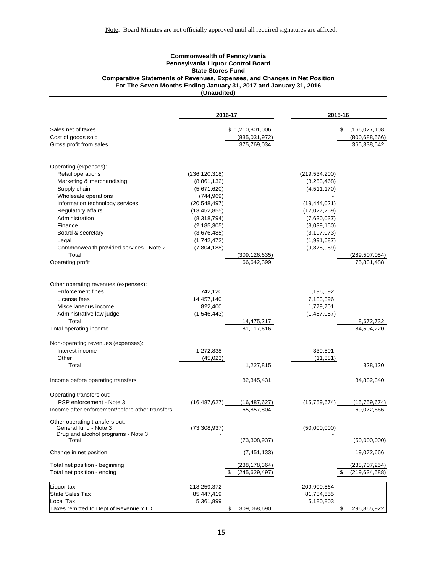#### **Commonwealth of Pennsylvania Pennsylvania Liquor Control Board State Stores Fund Comparative Statements of Revenues, Expenses, and Changes in Net Position For The Seven Months Ending January 31, 2017 and January 31, 2016 (Unaudited)**

|                                                                                               | 2016-17         |                                    | 2015-16         |                                        |
|-----------------------------------------------------------------------------------------------|-----------------|------------------------------------|-----------------|----------------------------------------|
| Sales net of taxes                                                                            |                 | \$1,210,801,006                    |                 | \$1,166,027,108                        |
| Cost of goods sold                                                                            |                 | (835,031,972)                      |                 | (800, 688, 566)                        |
| Gross profit from sales                                                                       |                 | 375,769,034                        |                 | 365,338,542                            |
| Operating (expenses):                                                                         |                 |                                    |                 |                                        |
| Retail operations                                                                             | (236, 120, 318) |                                    | (219, 534, 200) |                                        |
| Marketing & merchandising                                                                     | (8,861,132)     |                                    | (8, 253, 468)   |                                        |
| Supply chain                                                                                  | (5,671,620)     |                                    | (4,511,170)     |                                        |
| Wholesale operations                                                                          | (744, 969)      |                                    |                 |                                        |
| Information technology services                                                               | (20, 548, 497)  |                                    | (19, 444, 021)  |                                        |
| Regulatory affairs                                                                            | (13, 452, 855)  |                                    | (12,027,259)    |                                        |
| Administration                                                                                | (8,318,794)     |                                    | (7,630,037)     |                                        |
| Finance                                                                                       | (2, 185, 305)   |                                    | (3,039,150)     |                                        |
| Board & secretary                                                                             | (3,676,485)     |                                    | (3, 197, 073)   |                                        |
| Legal                                                                                         | (1,742,472)     |                                    | (1,991,687)     |                                        |
| Commonwealth provided services - Note 2                                                       | (7,804,188)     |                                    | (9,878,989)     |                                        |
| Total                                                                                         |                 | (309,126,635)                      |                 | (289,507,054)                          |
| Operating profit                                                                              |                 | 66,642,399                         |                 | 75,831,488                             |
| Other operating revenues (expenses):                                                          |                 |                                    |                 |                                        |
| <b>Enforcement fines</b>                                                                      | 742,120         |                                    | 1,196,692       |                                        |
| License fees                                                                                  | 14,457,140      |                                    | 7,183,396       |                                        |
| Miscellaneous income                                                                          | 822,400         |                                    | 1,779,701       |                                        |
| Administrative law judge                                                                      | (1,546,443)     |                                    | (1,487,057)     |                                        |
| Total                                                                                         |                 | 14,475,217                         |                 | 8,672,732                              |
| Total operating income                                                                        |                 | 81,117,616                         |                 | 84,504,220                             |
| Non-operating revenues (expenses):                                                            |                 |                                    |                 |                                        |
| Interest income                                                                               | 1,272,838       |                                    | 339,501         |                                        |
| Other                                                                                         | (45, 023)       |                                    | (11, 381)       |                                        |
| Total                                                                                         |                 | 1,227,815                          |                 | 328,120                                |
| Income before operating transfers                                                             |                 | 82,345,431                         |                 | 84,832,340                             |
| Operating transfers out:                                                                      |                 |                                    |                 |                                        |
| PSP enforcement - Note 3                                                                      | (16, 487, 627)  | (16, 487, 627)                     | (15,759,674)    | (15,759,674)                           |
| Income after enforcement/before other transfers                                               |                 | 65,857,804                         |                 | 69,072,666                             |
| Other operating transfers out:<br>General fund - Note 3<br>Drug and alcohol programs - Note 3 | (73, 308, 937)  |                                    | (50,000,000)    |                                        |
| Total                                                                                         |                 | (73, 308, 937)                     |                 | (50,000,000)                           |
| Change in net position                                                                        |                 | (7, 451, 133)                      |                 | 19,072,666                             |
|                                                                                               |                 |                                    |                 |                                        |
| Total net position - beginning<br>Total net position - ending                                 | \$              | (238, 178, 364)<br>(245, 629, 497) |                 | (238,707,254)<br>(219, 634, 588)<br>\$ |
| Liquor tax                                                                                    | 218,259,372     |                                    | 209,900,564     |                                        |
| <b>State Sales Tax</b>                                                                        | 85,447,419      |                                    | 81,784,555      |                                        |
| Local Tax                                                                                     | 5,361,899       |                                    | 5,180,803       |                                        |
| Taxes remitted to Dept.of Revenue YTD                                                         | \$              | 309,068,690                        |                 | \$<br>296,865,922                      |